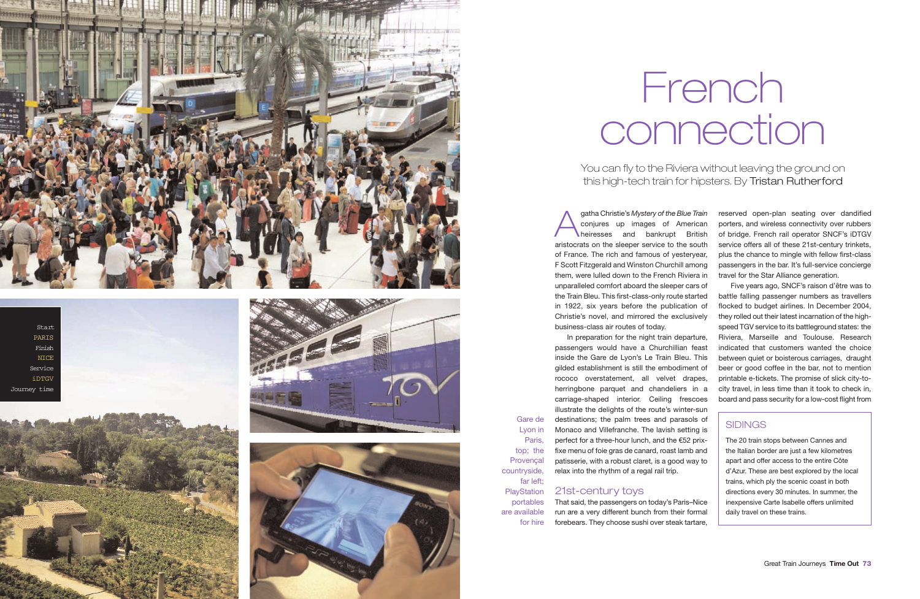







# French connection

You can fly to the Riviera without leaving the ground on this high-tech train for hipsters. By Tristan Rutherford

gatha Christie's *Mystery of the Blue Train*<br>
conjures up images of American<br>
heiresses and bankrupt British<br>
pristocrats on the sleeper service to the south conjures up images of American aristocrats on the sleeper service to the south of France. The rich and famous of yesteryear, F Scott Fitzgerald and Winston Churchill among them, were lulled down to the French Riviera in unparalleled comfort aboard the sleeper cars of the Train Bleu. This first-class-only route started in 1922, six years befor e the publication of Christie's novel, and mirrored the exclusively business-class air routes of today.

In preparation for the night train departure, passengers would have a Churchillian feast inside the Gar e de Lyon's Le Train Bleu. This gilded establishment is still the embodiment of rococo overstatement, all velvet drapes, herringbone parquet and chandeliers in a carriage-shaped interior. Ceiling frescoes illustrate the delights of the route's winter-sun destinations; the palm trees and parasols of Monaco and Villefranche. The lavish setting is perfect for a three-hour lunch, and the €52 prixfixe menu of foie gras de canard, roast lamb and patisserie, with a robust claret, is a good way to relax into the rhythm of a regal rail trip.

#### 21st-century toys

That said, the passengers on today's Paris–Nice run are a very different bunch from their formal forebears. They choose sushi over steak tartare, are available for hire

reserved open-plan seating over dandified porters, and wireless connectivity over rubbers of bridge. French rail operator SNCF's iDTGV service offers all of these 21st-century trinkets, plus the chance to mingle with fellow first-class passengers in the bar. It's full-service concierge travel for the Star Alliance generation.

Five years ago, SNCF's raison d'être was to battle falling passenger numbers as travellers flocked to budget airlines. In December 2004, they rolled out their latest incarnation of the highspeed TGV service to its battleground states: the Riviera, Marseille and Toulouse. Research indicated that customers wanted the choice between quiet or boisterous carriages, draught beer or good coffee in the bar, not to mention printable e-tickets. The promise of slick city-tocity travel, in less time than it took to check in, boar d and pass security for a low-cost flight from

# **SIDINGS**

The 20 train stops between Cannes and the Italian border are just a few kilometres apart and offer access to the entire Côte d'Azur. These are best explored by the local trains, which ply the scenic coast in both directions every 30 minutes. In summer, the inexpensive Carte Isabelle offers unlimited daily travel on these trains.

**Provencal** countryside, far left; **PlayStation** portables

Gare de Lyon in Paris, top; the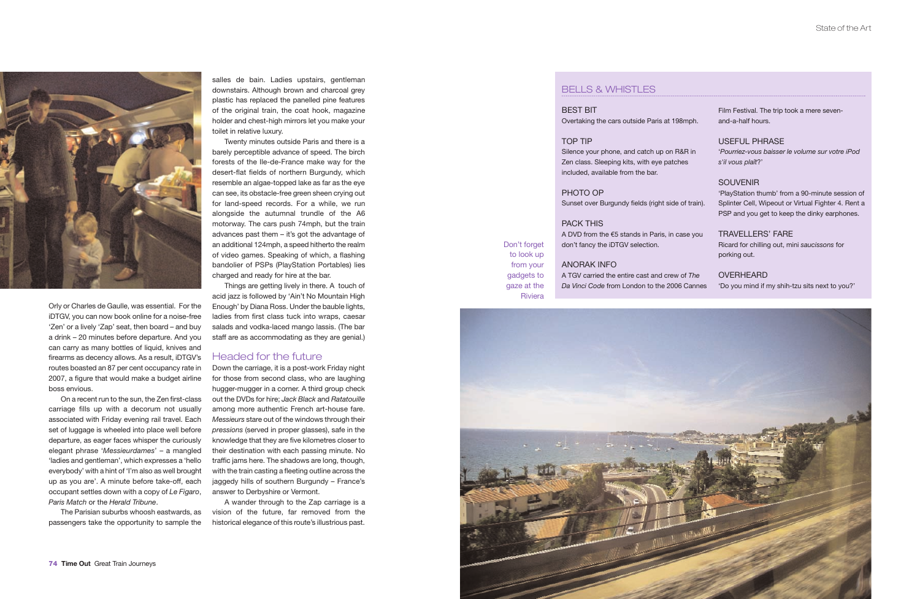

Orly or Charles de Gaulle, was essential. For the iDTGV, you can now book online for a noise-free 'Zen' or a lively 'Zap' seat, then board – and buy a drink – 20 minutes before departure. And you can carry as many bottles of liquid, knives and firearms as decency allows. As a result, iDTGV's routes boasted an 87 per cent occupancy rate in 2007, a figure that would make a budget airline boss envious.

On a recent run to the sun, the Zen first-class carriage fills up with a decorum not usually associated with Friday evening rail travel. Each set of luggage is wheeled into place well before departure, as eager faces whisper the curiously elegant phrase '*Messieurdames*' – a mangled 'ladies and gentleman', which expresses a 'hello everybody' with a hint of 'I'm also as well brought up as you are'. A minute before take-off, each occupant settles down with a copy of *Le Figaro*, *Paris Match* or the *Herald Tribune*.

The Parisian suburbs whoosh eastwards, as passengers take the opportunity to sample the

salles de bain. Ladies upstairs, gentleman downstairs. Although brown and charcoal grey plastic has replaced the panelled pine features of the original train, the coat hook, magazine holder and chest-high mirrors let you make your toilet in relative luxury.

Twenty minutes outside Paris and there is a barely perceptible advance of speed. The birch forests of the Ile-de-France make way for the desert-flat fields of northern Burgundy, which resemble an algae-topped lake as far as the eye can see, its obstacle-free green sheen crying out for land-speed records. For a while, we run alongside the autumnal trundle of the A6 motorway. The cars push 74mph, but the train advances past them – it's got the advantage of an additional 124mph, a speed hitherto the realm of video games. Speaking of which, a flashing bandolier of PSPs (PlayStation Portables) lies charged and ready for hire at the bar.

Things are getting lively in there. A touch of acid jazz is followed by 'Ain't No Mountain High Enough' by Diana Ross. Under the bauble lights, ladies from first class tuck into wraps, caesar salads and vodka-laced mango lassis. (The bar staff are as accommodating as they are genial.)

## Headed for the future

Down the carriage, it is a post-work Friday night for those from second class, who are laughing hugger-mugger in a corner. A third group check out the DVDs for hire; *Jack Black* and *Ratatouille* among more authentic French art-house fare. *Messieurs* stare out of the windows through their *pressions* (served in proper glasses), safe in the knowledge that they are five kilometres closer to their destination with each passing minute. No traffic jams here. The shadows are long, though, with the train casting a fleeting outline across the jaggedy hills of southern Burgundy – France's answer to Derbyshire or Vermont.

A wander through to the Zap carriage is a vision of the future, far removed from the historical elegance of this route's illustrious past.

# BELLS & WHISTLES

BEST BIT Overtaking the cars outside Paris at 198mph.

#### TOP TIP

Silence your phone, and catch up on R&R in Zen class. Sleeping kits, with eye patches included, available from the bar.

#### PHOTO OP

Sunset over Burgundy fields (right side of train).

# PACK THIS

Don't forget to look up from your gadgets to gaze at the A DVD from the €5 stands in Paris, in case you don't fancy the iDTGV selection.

#### ANORAK INFO

A TGV carried the entire cast and crew of *The Da Vinci Code* from London to the 2006 Cannes Film Festival. The trip took a mere sevenand-a-half hours.

#### USEFUL PHRASE

'*Pourriez-vous baisser le volume sur votre iPod s'il vous plaît*?'

# SOUVENIR

'PlayStation thumb' from a 90-minute session of Splinter Cell, Wipeout or Virtual Fighter 4. Rent a PSP and you get to keep the dinky earphones.

TRAVELLERS' FARE

Ricard for chilling out, mini *saucissons* for porking out.

OVERHEARD 'Do you mind if my shih-tzu sits next to you?'